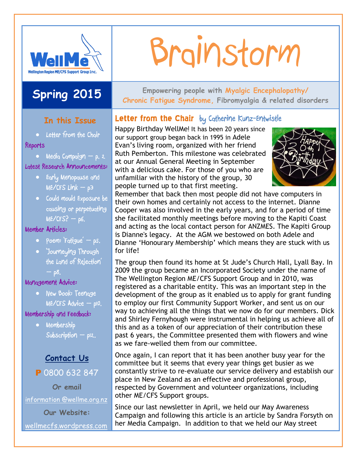

## **In this Issue**

**Letter from the Chair**

#### **Reports**

**Media Campaign – p. 2**

#### **Latest Research Announcements:**

- **Early Menopause and ME/CFS Link – p3**
- **Could mould Exposure be causing or perpetuating ME/CFS? – p6.**

#### **Member Articles:**

- **Poem: 'Fatigue' – p5.**
- **'Journeying Through the Land of Rejection' – p8.**

#### **Management Advice:**

 **New Book: Teenage ME/CFS Advice – p10.**

#### **Membership and Feedback:**

 **Membership Subscription – p12.**

## **Contact Us**

P 0800 632 847

**Or email**

information @wellme.org.nz

**Our Website:**

wellmecfs.wordpress.com

# Brainstorm

**Spring 2015 Empowering people with Myalgic Encephalopathy/ Chronic Fatigue Syndrome, Fibromyalgia & related disorders**

## Letter from the Chair **by Catherine Kunz-Entwistle**

Happy Birthday WellMe! It has been 20 years since our support group began back in 1995 in Adele Evan's living room, organized with her friend Ruth Pemberton. This milestone was celebrated at our Annual General Meeting in September with a delicious cake. For those of you who are unfamiliar with the history of the group, 30 people turned up to that first meeting.



Remember that back then most people did not have computers in their own homes and certainly not access to the internet. Dianne Cooper was also involved in the early years, and for a period of time she facilitated monthly meetings before moving to the Kapiti Coast and acting as the local contact person for ANZMES. The Kapiti Group is Dianne's legacy. At the AGM we bestowed on both Adele and Dianne 'Honourary Membership' which means they are stuck with us for life!

The group then found its home at St Jude's Church Hall, Lyall Bay. In 2009 the group became an Incorporated Society under the name of The Wellington Region ME/CFS Support Group and in 2010, was registered as a charitable entity. This was an important step in the development of the group as it enabled us to apply for grant funding to employ our first Community Support Worker, and sent us on our way to achieving all the things that we now do for our members. Dick and Shirley Fernyhough were instrumental in helping us achieve all of this and as a token of our appreciation of their contribution these past 6 years, the Committee presented them with flowers and wine as we fare-welled them from our committee.

Once again, I can report that it has been another busy year for the committee but it seems that every year things get busier as we constantly strive to re-evaluate our service delivery and establish our place in New Zealand as an effective and professional group, respected by Government and volunteer organizations, including other ME/CFS Support groups.

Since our last newsletter in April, we held our May Awareness Campaign and following this article is an article by Sandra Forsyth on her Media Campaign. In addition to that we held our May street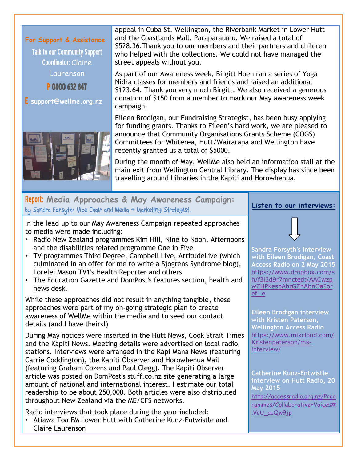**For Support & Assistance**

Talk to our Community Support Coordinator: Claire Laurenson

P 0800 632 847

E **<sup>s</sup>upport@wellme.org.nz**



appeal in Cuba St, Wellington, the Riverbank Market in Lower Hutt and the Coastlands Mall, Paraparaumu. We raised a total of \$528.36.Thank you to our members and their partners and children who helped with the collections. We could not have managed the street appeals without you.

As part of our Awareness week, Birgitt Hoen ran a series of Yoga Nidra classes for members and friends and raised an additional \$123.64. Thank you very much Birgitt. We also received a generous donation of \$150 from a member to mark our May awareness week campaign.

Eileen Brodigan, our Fundraising Strategist, has been busy applying for funding grants. Thanks to Eileen's hard work, we are pleased to announce that Community Organisations Grants Scheme (COGS) Committees for Whiterea, Hutt/Wairarapa and Wellington have recently granted us a total of \$5000.

During the month of May, WellMe also held an information stall at the main exit from Wellington Central Library. The display has since been travelling around Libraries in the Kapiti and Horowhenua.

Report: **Media Approaches & May Awareness Campaign: by Sandra Forsyth: Vice Chair and Media & Marketing Strategist.**

**Listen to our interviews:**

In the lead up to our May Awareness Campaign repeated approaches to media were made including:

- Radio New Zealand programmes Kim Hill, Nine to Noon, Afternoons and the disabilities related programme One in Five
- TV programmes Third Degree, Campbell Live, AttitudeLive (which culminated in an offer for me to write a Sjogrens Syndrome blog), Lorelei Mason TV1's Health Reporter and others
- The Education Gazette and DomPost's features section, health and news desk.

While these approaches did not result in anything tangible, these approaches were part of my on-going strategic plan to create awareness of WellMe within the media and to seed our contact details (and I have theirs!)

During May notices were inserted in the Hutt News, Cook Strait Times and the Kapiti News. Meeting details were advertised on local radio stations. Interviews were arranged in the Kapi Mana News (featuring Carrie Coddington), the Kapiti Observer and Horowhenua Mail (featuring Graham Cozens and Paul Clegg). The Kapiti Observer article was posted on DomPost's stuff.co.nz site generating a large amount of national and international interest. I estimate our total readership to be about 250,000. Both articles were also distributed throughout New Zealand via the ME/CFS networks.

Radio interviews that took place during the year included: • Atiawa Toa FM Lower Hutt with Catherine Kunz-Entwistle and

Claire Laurenson

**Sandra Forsyth's interview with Eileen Brodigan, Coast Access Radio on 2 May 2015** [https://www.dropbox.com/s](https://www.dropbox.com/sh/f3i3d9r7mnctedt/AACwzpwZHPkesbAbrGZnAbnOa?oref=e) [h/f3i3d9r7mnctedt/AACwzp](https://www.dropbox.com/sh/f3i3d9r7mnctedt/AACwzpwZHPkesbAbrGZnAbnOa?oref=e) [wZHPkesbAbrGZnAbnOa?or](https://www.dropbox.com/sh/f3i3d9r7mnctedt/AACwzpwZHPkesbAbrGZnAbnOa?oref=e)  $ef=e$ 

**Eileen Brodigan interview with Kristen Paterson, Wellington Access Radio** [https://www.mixcloud.com/](https://www.mixcloud.com/Kristenpaterson/ms-interview/) [Kristenpaterson/ms](https://www.mixcloud.com/Kristenpaterson/ms-interview/)[interview/](https://www.mixcloud.com/Kristenpaterson/ms-interview/)

**Catherine Kunz-Entwistle interview on Hutt Radio, 20 May 2015** [http://accessradio.org.nz/Prog](http://accessradio.org.nz/Programmes/Collaborative+Voices#.VcU_auQw9jp) [rammes/Collaborative+Voices#](http://accessradio.org.nz/Programmes/Collaborative+Voices#.VcU_auQw9jp) [.VcU\\_auQw9jp](http://accessradio.org.nz/Programmes/Collaborative+Voices#.VcU_auQw9jp)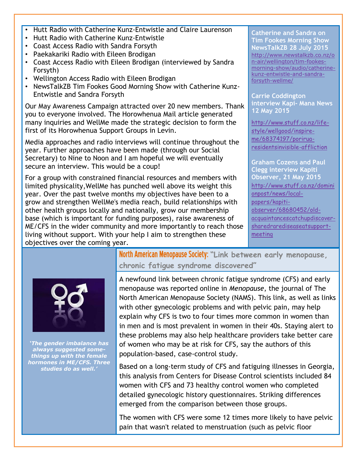- Hutt Radio with Catherine Kunz-Entwistle and Claire Laurenson
- Hutt Radio with Catherine Kunz-Entwistle
- Coast Access Radio with Sandra Forsyth
- Paekakariki Radio with Eileen Brodigan
- Coast Access Radio with Eileen Brodigan (interviewed by Sandra Forsyth)
- Wellington Access Radio with Eileen Brodigan
- NewsTalkZB Tim Fookes Good Morning Show with Catherine Kunz-Entwistle and Sandra Forsyth

Our May Awareness Campaign attracted over 20 new members. Thank you to everyone involved. The Horowhenua Mail article generated many inquiries and WellMe made the strategic decision to form the first of its Horowhenua Support Groups in Levin.

Media approaches and radio interviews will continue throughout the year. Further approaches have been made (through our Social Secretary) to Nine to Noon and I am hopeful we will eventually secure an interview. This would be a coup!

For a group with constrained financial resources and members with limited physicality,WellMe has punched well above its weight this year. Over the past twelve months my objectives have been to a grow and strengthen WellMe's media reach, build relationships with other health groups locally and nationally, grow our membership base (which is important for funding purposes), raise awareness of ME/CFS in the wider community and more importantly to reach those living without support. With your help I aim to strengthen these objectives over the coming year.

**Catherine and Sandra on Tim Fookes Morning Show NewsTalkZB 28 July 2015** [http://www.newstalkzb.co.nz/o](http://www.newstalkzb.co.nz/on-air/wellington/tim-fookes-morning-show/audio/catherine-kunz-entwistle-and-sandra-forsyth-wellme/) [n-air/wellington/tim-fookes](http://www.newstalkzb.co.nz/on-air/wellington/tim-fookes-morning-show/audio/catherine-kunz-entwistle-and-sandra-forsyth-wellme/)[morning-show/audio/catherine](http://www.newstalkzb.co.nz/on-air/wellington/tim-fookes-morning-show/audio/catherine-kunz-entwistle-and-sandra-forsyth-wellme/)[kunz-entwistle-and-sandra](http://www.newstalkzb.co.nz/on-air/wellington/tim-fookes-morning-show/audio/catherine-kunz-entwistle-and-sandra-forsyth-wellme/)[forsyth-wellme/](http://www.newstalkzb.co.nz/on-air/wellington/tim-fookes-morning-show/audio/catherine-kunz-entwistle-and-sandra-forsyth-wellme/)

**Carrie Coddington interview Kapi- Mana News 12 May 2015**

http://www.stuff.co.nz/lifestyle/wellgood/inspireme/68374197/poriruaresidentsinvisible-affliction

**Graham Cozens and Paul Clegg interview Kapiti Observer, 21 May 2015** [http://www.stuff.co.nz/domini](http://www.stuff.co.nz/dominionpost/news/localpapers/kapitiobserver/68680452/old-acquaintancescatchupdiscoversharedrarediseaseatsupportmeeting) [onpost/news/local](http://www.stuff.co.nz/dominionpost/news/localpapers/kapitiobserver/68680452/old-acquaintancescatchupdiscoversharedrarediseaseatsupportmeeting)[papers/kapiti](http://www.stuff.co.nz/dominionpost/news/localpapers/kapitiobserver/68680452/old-acquaintancescatchupdiscoversharedrarediseaseatsupportmeeting)[observer/68680452/old](http://www.stuff.co.nz/dominionpost/news/localpapers/kapitiobserver/68680452/old-acquaintancescatchupdiscoversharedrarediseaseatsupportmeeting)[acquaintancescatchupdiscover](http://www.stuff.co.nz/dominionpost/news/localpapers/kapitiobserver/68680452/old-acquaintancescatchupdiscoversharedrarediseaseatsupportmeeting)[sharedrarediseaseatsupport](http://www.stuff.co.nz/dominionpost/news/localpapers/kapitiobserver/68680452/old-acquaintancescatchupdiscoversharedrarediseaseatsupportmeeting)[meeting](http://www.stuff.co.nz/dominionpost/news/localpapers/kapitiobserver/68680452/old-acquaintancescatchupdiscoversharedrarediseaseatsupportmeeting)



*'The gender imbalance has always suggested somethings up with the female hormones in ME/CFS. Three studies do as well.'*

North American Menopause Society: **"Link between early menopause, chronic fatigue syndrome discovered"**

A newfound link between chronic fatigue syndrome (CFS) and early menopause was reported online in *Menopause*, the journal of The North American Menopause Society (NAMS). This link, as well as links with other gynecologic problems and with pelvic pain, may help explain why CFS is two to four times more common in women than in men and is most prevalent in women in their 40s. Staying alert to these problems may also help healthcare providers take better care of women who may be at risk for CFS, say the authors of this population-based, case-control study.

Based on a long-term study of CFS and fatiguing illnesses in Georgia, this analysis from Centers for Disease Control scientists included 84 women with CFS and 73 healthy control women who completed detailed gynecologic history questionnaires. Striking differences emerged from the comparison between those groups.

The women with CFS were some 12 times more likely to have pelvic pain that wasn't related to menstruation (such as pelvic floor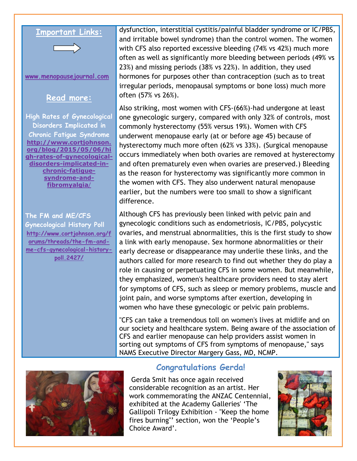



**[www.menopausejournal.com](http://www.menopausejournal.com/)**

#### **Read more:**

**High Rates of Gynecological Disorders Implicated in Chronic Fatigue Syndrome [http://www.cortjohnson.](http://www.cortjohnson.org/blog/2015/05/06/high-rates-of-gynecological-disorders-implicated-in-chronic-fatigue-syndrome-and-fibromyalgia/) [org/blog/2015/05/06/hi](http://www.cortjohnson.org/blog/2015/05/06/high-rates-of-gynecological-disorders-implicated-in-chronic-fatigue-syndrome-and-fibromyalgia/) [gh-rates-of-gynecological](http://www.cortjohnson.org/blog/2015/05/06/high-rates-of-gynecological-disorders-implicated-in-chronic-fatigue-syndrome-and-fibromyalgia/)[disorders-implicated-in](http://www.cortjohnson.org/blog/2015/05/06/high-rates-of-gynecological-disorders-implicated-in-chronic-fatigue-syndrome-and-fibromyalgia/)[chronic-fatigue](http://www.cortjohnson.org/blog/2015/05/06/high-rates-of-gynecological-disorders-implicated-in-chronic-fatigue-syndrome-and-fibromyalgia/)[syndrome-and](http://www.cortjohnson.org/blog/2015/05/06/high-rates-of-gynecological-disorders-implicated-in-chronic-fatigue-syndrome-and-fibromyalgia/)[fibromyalgia](http://www.cortjohnson.org/blog/2015/05/06/high-rates-of-gynecological-disorders-implicated-in-chronic-fatigue-syndrome-and-fibromyalgia/)**/

**The FM and ME/CFS Gynecological History Poll http://www.cortjohnson.org/f orums/threads/the-fm-andme-cfs-gynecological-historypoll.2427/**

dysfunction, interstitial cystitis/painful bladder syndrome or IC/PBS, and irritable bowel syndrome) than the control women. The women with CFS also reported excessive bleeding (74% vs 42%) much more often as well as significantly more bleeding between periods (49% vs 23%) and missing periods (38% vs 22%). In addition, they used hormones for purposes other than contraception (such as to treat irregular periods, menopausal symptoms or bone loss) much more often (57% vs 26%).

Also striking, most women with CFS-(66%)-had undergone at least one gynecologic surgery, compared with only 32% of controls, most commonly hysterectomy (55% versus 19%). Women with CFS underwent menopause early (at or before age 45) because of hysterectomy much more often (62% vs 33%). (Surgical menopause occurs immediately when both ovaries are removed at hysterectomy and often prematurely even when ovaries are preserved.) Bleeding as the reason for hysterectomy was significantly more common in the women with CFS. They also underwent natural menopause earlier, but the numbers were too small to show a significant difference.

Although CFS has previously been linked with pelvic pain and gynecologic conditions such as endometriosis, IC/PBS, polycystic ovaries, and menstrual abnormalities, this is the first study to show a link with early menopause. Sex hormone abnormalities or their early decrease or disappearance may underlie these links, and the authors called for more research to find out whether they do play a role in causing or perpetuating CFS in some women. But meanwhile, they emphasized, women's healthcare providers need to stay alert for symptoms of CFS, such as sleep or memory problems, muscle and joint pain, and worse symptoms after exertion, developing in women who have these gynecologic or pelvic pain problems.

"CFS can take a tremendous toll on women's lives at midlife and on our society and healthcare system. Being aware of the association of CFS and earlier menopause can help providers assist women in sorting out symptoms of CFS from symptoms of menopause," says NAMS Executive Director Margery Gass, MD, NCMP.



## **Congratulations Gerda!**

Gerda Smit has once again received considerable recognition as an artist. Her work commemorating the ANZAC Centennial, exhibited at the Academy Galleries' 'The Gallipoli Trilogy Exhibition - "Keep the home fires burning"' section, won the 'People's Choice Award'.

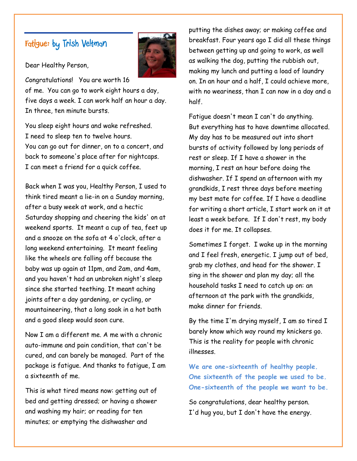## **Fatigue: by Trish Veltman**



Dear Healthy Person,

Congratulations! You are worth 16 of me. You can go to work eight hours a day, five days a week. I can work half an hour a day. In three, ten minute bursts.

You sleep eight hours and wake refreshed. I need to sleep ten to twelve hours. You can go out for dinner, on to a concert, and back to someone's place after for nightcaps. I can meet a friend for a quick coffee.

Back when I was you, Healthy Person, I used to think tired meant a lie-in on a Sunday morning, after a busy week at work, and a hectic Saturday shopping and cheering the kids' on at weekend sports. It meant a cup of tea, feet up and a snooze on the sofa at 4 o'clock, after a long weekend entertaining. It meant feeling like the wheels are falling off because the baby was up again at 11pm, and 2am, and 4am, and you haven't had an unbroken night's sleep since she started teething. It meant aching joints after a day gardening, or cycling, or mountaineering, that a long soak in a hot bath and a good sleep would soon cure.

Now I am a different me. A me with a chronic auto-immune and pain condition, that can't be cured, and can barely be managed. Part of the package is fatigue. And thanks to fatigue, I am a sixteenth of me.

This is what tired means now: getting out of bed and getting dressed; or having a shower and washing my hair; or reading for ten minutes; or emptying the dishwasher and

putting the dishes away; or making coffee and breakfast. Four years ago I did all these things between getting up and going to work, as well as walking the dog, putting the rubbish out, making my lunch and putting a load of laundry on. In an hour and a half, I could achieve more, with no weariness, than I can now in a day and a half.

Fatigue doesn't mean I can't do anything. But everything has to have downtime allocated. My day has to be measured out into short bursts of activity followed by long periods of rest or sleep. If I have a shower in the morning, I rest an hour before doing the dishwasher. If I spend an afternoon with my grandkids, I rest three days before meeting my best mate for coffee. If I have a deadline for writing a short article, I start work on it at least a week before. If I don't rest, my body does it for me. It collapses.

Sometimes I forget. I wake up in the morning and I feel fresh, energetic. I jump out of bed, grab my clothes, and head for the shower. I sing in the shower and plan my day; all the household tasks I need to catch up on: an afternoon at the park with the grandkids, make dinner for friends.

By the time I'm drying myself, I am so tired I barely know which way round my knickers go. This is the reality for people with chronic illnesses.

**We are one-sixteenth of healthy people. One sixteenth of the people we used to be. One-sixteenth of the people we want to be.**

So congratulations, dear healthy person. I'd hug you, but I don't have the energy.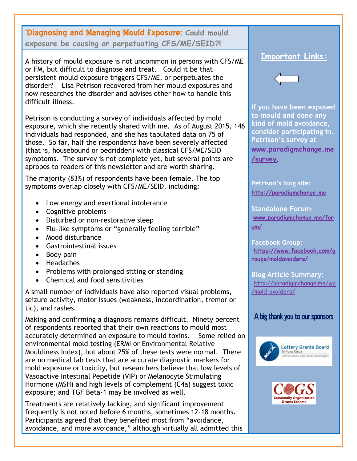## 'Diagnosing and Managing Mould Exposure: **Could mould exposure be causing or perpetuating CFS/ME/SEID?!**

A history of mould exposure is not uncommon in persons with CFS/ME or FM, but difficult to diagnose and treat. Could it be that persistent mould exposure triggers CFS/ME, or perpetuates the disorder? Lisa Petrison recovered from her mould exposures and now researches the disorder and advises other how to handle this difficult illness.

Petrison is conducting a survey of individuals affected by mold exposure, which she recently shared with me. As of August 2015, 146 individuals had responded, and she has tabulated data on 75 of those. So far, half the respondents have been severely affected (that is, housebound or bedridden) with classical CFS/ME/SEID symptoms. The survey is not complete yet, but several points are apropos to readers of this newsletter and are worth sharing.

The majority (83%) of respondents have been female. The top symptoms overlap closely with CFS/ME/SEID, including:

- Low energy and exertional intolerance
- Cognitive problems
- Disturbed or non-restorative sleep
- Flu-like symptoms or "generally feeling terrible"
- Mood disturbance
- Gastrointestinal issues
- Body pain
- Headaches
- Problems with prolonged sitting or standing
- Chemical and food sensitivities

A small number of individuals have also reported visual problems, seizure activity, motor issues (weakness, incoordination, tremor or tic), and rashes.

Making and confirming a diagnosis remains difficult. Ninety percent of respondents reported that their own reactions to mould most accurately determined an exposure to mould toxins. Some relied on environmental mold testing (ERMI or Environmental Relative Mouldiness Index), but about 25% of these tests were normal. There are no medical lab tests that are accurate diagnostic markers for mold exposure or toxicity, but researchers believe that low levels of Vasoactive Intestinal Pepetide (VIP) or Melanocyte Stimulating Hormone (MSH) and high levels of complement (C4a) suggest toxic exposure; and TGF Beta-1 may be involved as well.

Treatments are relatively lacking, and significant improvement frequently is not noted before 6 months, sometimes 12-18 months. Participants agreed that they benefited most from "avoidance, avoidance, and more avoidance," although virtually all admitted this

## **Important Links:**



**If you have been exposed to mould and done any kind of mold avoidance, consider participating in. Petrison's survey at [www.paradigmchange.me](http://www.paradigmchange.me/survey) [/survey](http://www.paradigmchange.me/survey)**.

**Petrison's blog site: [http://paradigmchange.me](http://paradigmchange.me/)**

**Standalone Forum: [www.paradigmchange.me/for](http://www.paradigmchange.me/forum/) [um/](http://www.paradigmchange.me/forum/)**

**Facebook Group: [https://www.facebook.com/g](https://www.facebook.com/groups/moldavoiders/) [roups/moldavoiders/](https://www.facebook.com/groups/moldavoiders/)**

**Blog Article Summary:** [http://paradigmchange.me/wp](http://paradigmchange.me/wp/mold-avoiders/) [/mold-avoiders/](http://paradigmchange.me/wp/mold-avoiders/)





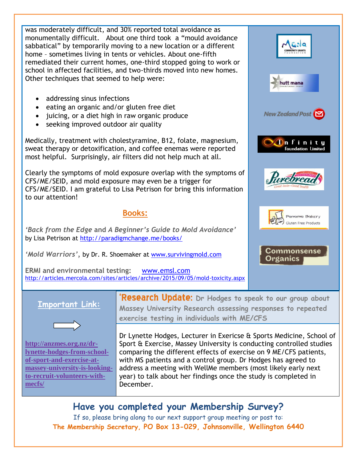was moderately difficult, and 30% reported total avoidance as monumentally difficult. About one third took a "mould avoidance sabbatical" by temporarily moving to a new location or a different home – sometimes living in tents or vehicles. About one-fifth remediated their current homes, one-third stopped going to work or school in affected facilities, and two-thirds moved into new homes. Other techniques that seemed to help were:

- addressing sinus infections
- eating an organic and/or gluten free diet
- juicing, or a diet high in raw organic produce
- seeking improved outdoor air quality

Medically, treatment with cholestyramine, B12, folate, magnesium, sweat therapy or detoxification, and coffee enemas were reported most helpful. Surprisingly, air filters did not help much at all.

Clearly the symptoms of mold exposure overlap with the symptoms of CFS/ME/SEID, and mold exposure may even be a trigger for CFS/ME/SEID. I am grateful to Lisa Petrison for bring this information to our attention!

## **Books:**

*'Back from the Edge* **and** *A Beginner's Guide to Mold Avoidance'* by Lisa Petrison at<http://paradigmchange.me/books/>

*'Mold Warriors',* by Dr. R. Shoemaker at [www.survivingmold.com](http://www.survivingmold.com/)

**ERMI and environmental testing:** [www.emsl.com](http://www.emsl.com/) <http://articles.mercola.com/sites/articles/archive/2015/09/05/mold-toxicity.aspx>

## **Important Link:**



**http://anzmes.org.nz/drlynette-hodges-from-schoolof-sport-and-exercise-atmassey-university-is-lookingto-recruit-volunteers-withmecfs/**

'Research Update: **Dr Hodges to speak to our group about Massey University Research assessing responses to repeated exercise testing in individuals with ME/CFS**

Dr Lynette Hodges, Lecturer in Exericse & Sports Medicine, School of Sport & Exercise, Massey University is conducting controlled studies comparing the different effects of exercise on 9 ME/CFS patients, with MS patients and a control group. Dr Hodges has agreed to address a meeting with WellMe members (most likely early next year) to talk about her findings once the study is completed in December.

## **Have you completed your Membership Survey?**

If so, please bring along to our next support group meeting or post to: **The Membership Secretary, PO Box 13-029, Johnsonville, Wellington 6440**

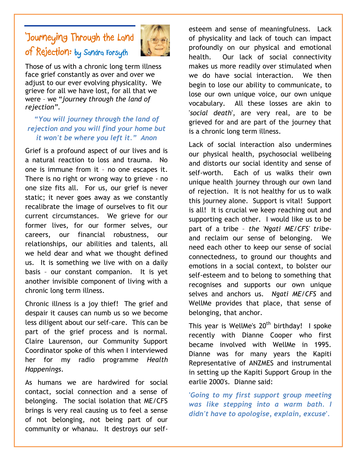## **'Journeying Through the Land of Rejection: by Sandra Forsyth**



Those of us with a chronic long term illness face grief constantly as over and over we adjust to our ever evolving physicality. We grieve for all we have lost, for all that we were – we "*journey through the land of rejection"*.

## *"You will journey through the land of rejection and you will find your home but it won't be where you left it." Anon*

Grief is a profound aspect of our lives and is a natural reaction to loss and trauma. No one is immune from it – no one escapes it. There is no right or wrong way to grieve - no one size fits all. For us, our grief is never static; it never goes away as we constantly recalibrate the image of ourselves to fit our current circumstances. We grieve for our former lives, for our former selves, our careers, our financial robustness, our relationships, our abilities and talents, all we held dear and what we thought defined us. It is something we live with on a daily basis – our constant companion. It is yet another invisible component of living with a chronic long term illness.

Chronic illness is a joy thief! The grief and despair it causes can numb us so we become less diligent about our self-care. This can be part of the grief process and is normal. Claire Laurenson, our Community Support Coordinator spoke of this when I interviewed her for my radio programme *Health Happenings*.

As humans we are hardwired for social contact, social connection and a sense of belonging. The social isolation that ME/CFS brings is very real causing us to feel a sense of not belonging, not being part of our community or whanau. It destroys our selfesteem and sense of meaningfulness. Lack of physicality and lack of touch can impact profoundly on our physical and emotional health. Our lack of social connectivity makes us more readily over stimulated when we do have social interaction. We then begin to lose our ability to communicate, to lose our own unique voice, our own unique vocabulary. All these losses are akin to '*social death*', are very real, are to be grieved for and are part of the journey that is a chronic long term illness.

Lack of social interaction also undermines our physical health, psychosocial wellbeing and distorts our social identity and sense of self-worth. Each of us walks their own unique health journey through our own land of rejection. It is not healthy for us to walk this journey alone. Support is vital! Support is all! It is crucial we keep reaching out and supporting each other. I would like us to be part of a tribe – *the 'Ngati ME/CFS' tribe*and reclaim our sense of belonging. We need each other to keep our sense of social connectedness, to ground our thoughts and emotions in a social context, to bolster our self-esteem and to belong to something that recognises and supports our own unique selves and anchors us. *Ngati ME/CFS* and WellMe provides that place, that sense of belonging, that anchor.

This year is WellMe's  $20<sup>th</sup>$  birthday! I spoke recently with Dianne Cooper who first became involved with WellMe in 1995. Dianne was for many years the Kapiti Representative of ANZMES and instrumental in setting up the Kapiti Support Group in the earlie 2000's. Dianne said:

**'***Going to my first support group meeting was like stepping into a warm bath. I didn't have to apologise, explain, excuse***'***.*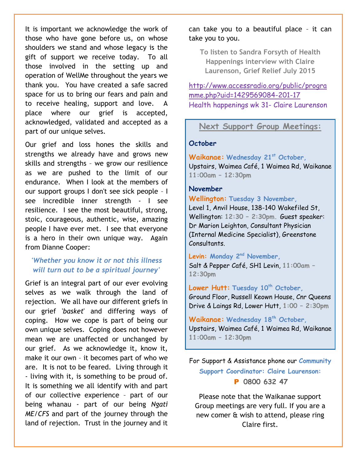It is important we acknowledge the work of those who have gone before us, on whose shoulders we stand and whose legacy is the gift of support we receive today. To all those involved in the setting up and operation of WellMe throughout the years we thank you. You have created a safe sacred space for us to bring our fears and pain and to receive healing, support and love. A place where our grief is accepted, acknowledged, validated and accepted as a part of our unique selves.

Our grief and loss hones the skills and strengths we already have and grows new skills and strengths – we grow our resilience as we are pushed to the limit of our endurance. When I look at the members of our support groups I don't see sick people – I see incredible inner strength - I see resilience. I see the most beautiful, strong, stoic, courageous, authentic, wise, amazing people I have ever met. I see that everyone is a hero in their own unique way. Again from Dianne Cooper:

### *'Whether you know it or not this illness will turn out to be a spiritual journey'*

Grief is an integral part of our ever evolving selves as we walk through the land of rejection. We all have our different griefs in our grief '*basket*' and differing ways of coping. How we cope is part of being our own unique selves. Coping does not however mean we are unaffected or unchanged by our grief. As we acknowledge it, know it, make it our own – it becomes part of who we are. It is not to be feared. Living through it - living with it, is something to be proud of. It is something we all identify with and part of our collective experience – part of our being whanau - part of our being *Ngati ME/CFS* and part of the journey through the land of rejection. Trust in the journey and it

can take you to a beautiful place – it can take you to you.

**To listen to Sandra Forsyth of Health Happenings interview with Claire Laurenson, Grief Relief July 2015**

## [http://www.accessradio.org/public/progra](http://www.accessradio.org/public/programme.php?uid=1429569084-201-17) [mme.php?uid=1429569084-201-17](http://www.accessradio.org/public/programme.php?uid=1429569084-201-17) Health happenings wk 31- Claire Laurenson

## **Next Support Group Meetings:**

#### **October**

**Waikanae: Wednesday 21st October,**  Upstairs, Waimea Café, 1 Waimea Rd, Waikanae **11:00am – 12:30pm**

#### **November**

**Wellington: Tuesday 3 November,**

Level 1, Anvil House, 138-140 Wakefiled St, Wellington: **12:30 – 2:30pm.** Guest speaker: Dr Marion Leighton, Consultant Physician (Internal Medicine Specialist), Greenstone Consultants.

**Levin: Monday 2nd November,** Salt & Pepper Café, SH1 Levin, **11:00am – 12:30pm**

**Lower Hutt: Tuesday 10 th October,**

Ground Floor, Russell Keown House, Cnr Queens Drive & Laings Rd, Lower Hutt, **1:00 – 2:30pm**

**Waikanae: Wednesday 18 th October,**  Upstairs, Waimea Café, 1 Waimea Rd, Waikanae **11:00am – 12:30pm**

For Support & Assistance phone our **Community Support Coordinator: Claire Laurenson:** P **0800 632 47**

Please note that the Waikanae support Group meetings are very full. If you are a new comer & wish to attend, please ring Claire first.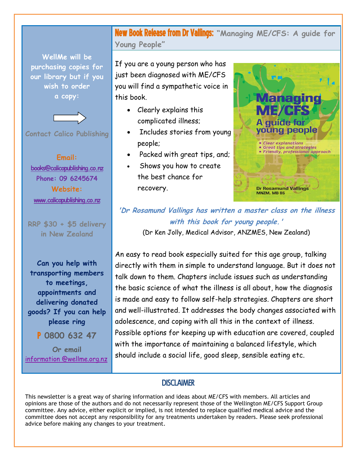**WellMe will be purchasing copies for our library but if you wish to order a copy:**



**Contact Calico Publishing**

**Email: books@calicopublishing.co.nz Phone: 09 6245674 Website: www.calicopublishing.co.nz**

**RRP \$30 + \$5 delivery in New Zealand**

**Can you help with transporting members to meetings, appointments and delivering donated goods? If you can help please ring**

P **0800 632 47**

**Or email** information @wellme.org.nz New Book Release from Dr Vallings: **"Managing ME/CFS: A guide for Young People"**

If you are a young person who has just been diagnosed with ME/CFS you will find a sympathetic voice in this book.

- Clearly explains this complicated illness;
- Includes stories from young people;
- Packed with great tips, and;
- Shows you how to create the best chance for recovery.



**'Dr Rosamund Vallings has written a master class on the illness with this book for young people.'** (Dr Ken Jolly, Medical Advisor, ANZMES, New Zealand)

An easy to read book especially suited for this age group, talking directly with them in simple to understand language. But it does not talk down to them. Chapters include issues such as understanding the basic science of what the illness is all about, how the diagnosis is made and easy to follow self-help strategies. Chapters are short and well-illustrated. It addresses the body changes associated with adolescence, and coping with all this in the context of illness. Possible options for keeping up with education are covered, coupled with the importance of maintaining a balanced lifestyle, which should include a social life, good sleep, sensible eating etc.

## **DISCLAIMER**

This newsletter is a great way of sharing information and ideas about ME/CFS with members. All articles and opinions are those of the authors and do not necessarily represent those of the Wellington ME/CFS Support Group committee. Any advice, either explicit or implied, is not intended to replace qualified medical advice and the committee does not accept any responsibility for any treatments undertaken by readers. Please seek professional advice before making any changes to your treatment.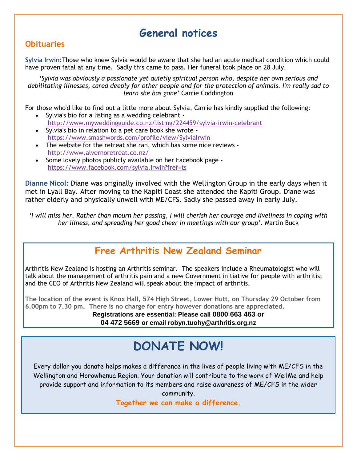## **General notices**

## **Obituaries**

**Sylvia Irwin:**Those who knew Sylvia would be aware that she had an acute medical condition which could have proven fatal at any time. Sadly this came to pass. Her funeral took place on 28 July.

'Sylvia was obviously a passionate yet quietly spiritual person who, despite her own serious and *debilitating illnesses, cared deeply for other people and for the protection of animals. I'm really sad to learn she has gone'* Carrie Coddington

For those who'd like to find out a little more about Sylvia, Carrie has kindly supplied the following:

- Sylvia's bio for a listing as a wedding celebrant <http://www.myweddingguide.co.nz/listing/224459/sylvia-irwin-celebrant>
- Sylvia's bio in relation to a pet care book she wrote <https://www.smashwords.com/profile/view/SylviaIrwin>
- The website for the retreat she ran, which has some nice reviews <http://www.alvernoretreat.co.nz/>
- Some lovely photos publicly available on her Facebook page <https://www.facebook.com/sylvia.irwin?fref=ts>

**Dianne Nicol:** Diane was originally involved with the Wellington Group in the early days when it met in Lyall Bay. After moving to the Kapiti Coast she attended the Kapiti Group. Diane was rather elderly and physically unwell with ME/CFS. Sadly she passed away in early July.

*'I will miss her. Rather than mourn her passing, I will cherish her courage and liveliness in coping with her illness, and spreading her good cheer in meetings with our group'.* Martin Buck

## **Free Arthritis New Zealand Seminar**

Arthritis New Zealand is hosting an Arthritis seminar. The speakers include a Rheumatologist who will talk about the management of arthritis pain and a new Government initiative for people with arthritis; and the CEO of Arthritis New Zealand will speak about the impact of arthritis.

**The location of the event is Knox Hall, 574 High Street, Lower Hutt, on Thursday 29 October from 6.00pm to 7.30 pm. There is no charge for entry however donations are appreciated.** 

**Registrations are essential: Please call 0800 663 463 or**

**04 472 5669 or email robyn.tuohy@arthritis.org.nz**

## **DONATE NOW!**

Every dollar you donate helps makes a difference in the lives of people living with ME/CFS in the Wellington and Horowhenua Region. Your donation will contribute to the work of WellMe and help provide support and information to its members and raise awareness of ME/CFS in the wider community.

**Together we can make a difference.**